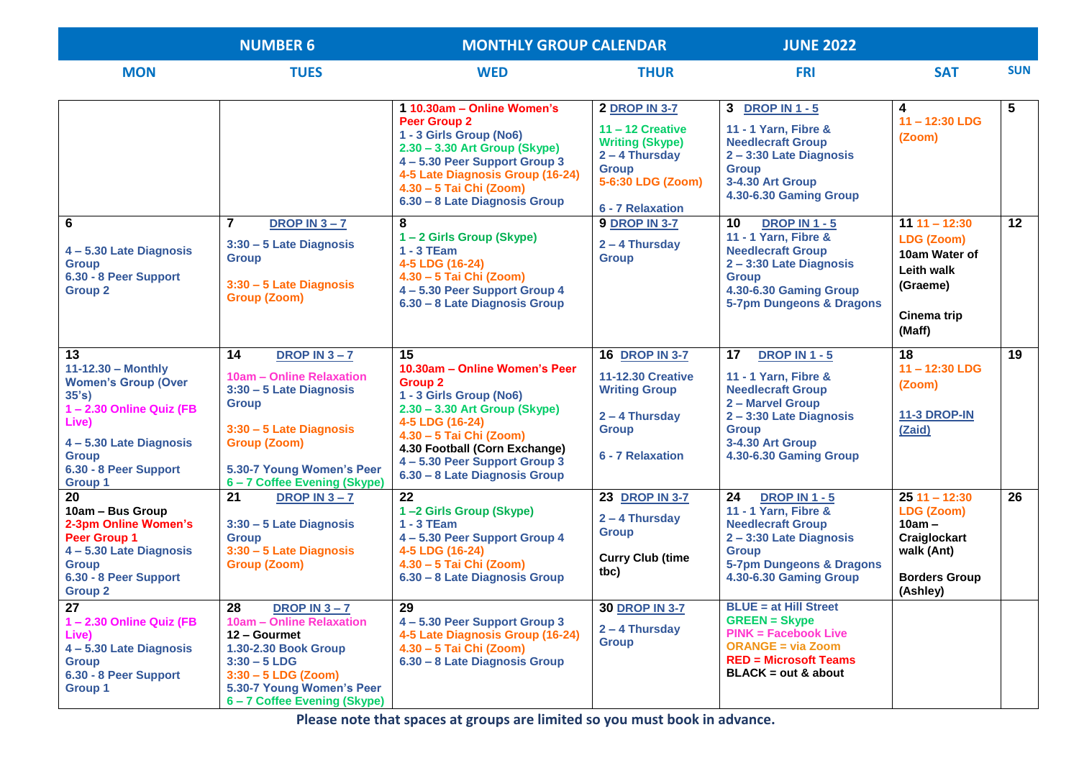|                                                                                                                                                                                           | <b>NUMBER 6</b>                                                                                                                                                                                             | <b>MONTHLY GROUP CALENDAR</b>                                                                                                                                                                                                                                    |                                                                                                                                                   | <b>JUNE 2022</b>                                                                                                                                                                          |                                                                                                            |            |
|-------------------------------------------------------------------------------------------------------------------------------------------------------------------------------------------|-------------------------------------------------------------------------------------------------------------------------------------------------------------------------------------------------------------|------------------------------------------------------------------------------------------------------------------------------------------------------------------------------------------------------------------------------------------------------------------|---------------------------------------------------------------------------------------------------------------------------------------------------|-------------------------------------------------------------------------------------------------------------------------------------------------------------------------------------------|------------------------------------------------------------------------------------------------------------|------------|
| <b>MON</b>                                                                                                                                                                                | <b>TUES</b>                                                                                                                                                                                                 | <b>WED</b>                                                                                                                                                                                                                                                       | <b>THUR</b>                                                                                                                                       | <b>FRI</b>                                                                                                                                                                                | <b>SAT</b>                                                                                                 | <b>SUN</b> |
|                                                                                                                                                                                           |                                                                                                                                                                                                             | 1 10.30am - Online Women's<br><b>Peer Group 2</b><br>1 - 3 Girls Group (No6)<br>2.30 - 3.30 Art Group (Skype)<br>4-5.30 Peer Support Group 3<br>4-5 Late Diagnosis Group (16-24)<br>4.30 - 5 Tai Chi (Zoom)<br>6.30 - 8 Late Diagnosis Group                     | <b>2 DROP IN 3-7</b><br>$11 - 12$ Creative<br><b>Writing (Skype)</b><br>$2 - 4$ Thursday<br><b>Group</b><br>5-6:30 LDG (Zoom)<br>6 - 7 Relaxation | 3 DROP IN 1 - 5<br>11 - 1 Yarn, Fibre &<br><b>Needlecraft Group</b><br>2-3:30 Late Diagnosis<br><b>Group</b><br>3-4.30 Art Group<br>4.30-6.30 Gaming Group                                | 4<br>$11 - 12:30$ LDG<br>(Zoom)                                                                            | 5          |
| 6<br>4-5.30 Late Diagnosis<br><b>Group</b><br>6.30 - 8 Peer Support<br><b>Group 2</b>                                                                                                     | $\overline{7}$<br>DROP IN $3 - 7$<br>3:30 - 5 Late Diagnosis<br><b>Group</b><br>$3:30 - 5$ Late Diagnosis<br><b>Group (Zoom)</b>                                                                            | 8<br>1-2 Girls Group (Skype)<br>$1 - 3$ TEam<br>4-5 LDG (16-24)<br>4.30 - 5 Tai Chi (Zoom)<br>4 - 5.30 Peer Support Group 4<br>6.30 - 8 Late Diagnosis Group                                                                                                     | <b>9 DROP IN 3-7</b><br>2 - 4 Thursday<br><b>Group</b>                                                                                            | 10<br><b>DROP IN 1 - 5</b><br>11 - 1 Yarn, Fibre &<br><b>Needlecraft Group</b><br>2-3:30 Late Diagnosis<br><b>Group</b><br>4.30-6.30 Gaming Group<br>5-7pm Dungeons & Dragons             | $111 - 12:30$<br><b>LDG (Zoom)</b><br>10am Water of<br>Leith walk<br>(Graeme)<br>Cinema trip<br>(Maff)     | 12         |
| 13<br>$11 - 12.30 - Monthly$<br><b>Women's Group (Over</b><br>35's<br>1-2.30 Online Quiz (FB<br>Live)<br>4-5.30 Late Diagnosis<br><b>Group</b><br>6.30 - 8 Peer Support<br><b>Group 1</b> | 14<br>DROP IN $3 - 7$<br>10am - Online Relaxation<br>3:30 - 5 Late Diagnosis<br><b>Group</b><br>$3:30 - 5$ Late Diagnosis<br><b>Group (Zoom)</b><br>5.30-7 Young Women's Peer<br>6-7 Coffee Evening (Skype) | 15<br>10.30am - Online Women's Peer<br><b>Group 2</b><br>1 - 3 Girls Group (No6)<br>2.30 - 3.30 Art Group (Skype)<br>4-5 LDG (16-24)<br>4.30 - 5 Tai Chi (Zoom)<br>4.30 Football (Corn Exchange)<br>4-5.30 Peer Support Group 3<br>6.30 - 8 Late Diagnosis Group | <b>16 DROP IN 3-7</b><br><b>11-12.30 Creative</b><br><b>Writing Group</b><br>2 - 4 Thursday<br><b>Group</b><br>6 - 7 Relaxation                   | <b>DROP IN 1 - 5</b><br>17<br>11 - 1 Yarn, Fibre &<br><b>Needlecraft Group</b><br>2 - Marvel Group<br>2-3:30 Late Diagnosis<br><b>Group</b><br>3-4.30 Art Group<br>4.30-6.30 Gaming Group | 18<br>11-12:30 LDG<br>(Zoom)<br><b>11-3 DROP-IN</b><br>(Zaid)                                              | 19         |
| 20<br>10am - Bus Group<br>2-3pm Online Women's<br><b>Peer Group 1</b><br>4-5.30 Late Diagnosis<br><b>Group</b><br>6.30 - 8 Peer Support<br><b>Group 2</b>                                 | 21<br>DROP IN $3 - 7$<br>3:30 - 5 Late Diagnosis<br><b>Group</b><br>3:30 - 5 Late Diagnosis<br>Group (Zoom)                                                                                                 | 22<br>1-2 Girls Group (Skype)<br>$1 - 3$ TEam<br>4 - 5.30 Peer Support Group 4<br>4-5 LDG (16-24)<br>4.30 - 5 Tai Chi (Zoom)<br>6.30 - 8 Late Diagnosis Group                                                                                                    | 23 DROP IN 3-7<br>2 - 4 Thursday<br><b>Group</b><br><b>Curry Club (time</b><br>tbc)                                                               | 24<br><b>DROP IN 1 - 5</b><br>11 - 1 Yarn, Fibre &<br><b>Needlecraft Group</b><br>2-3:30 Late Diagnosis<br><b>Group</b><br>5-7pm Dungeons & Dragons<br>4.30-6.30 Gaming Group             | $2511 - 12:30$<br>LDG (Zoom)<br>$10am -$<br>Craiglockart<br>walk (Ant)<br><b>Borders Group</b><br>(Ashley) | 26         |
| 27<br>1-2.30 Online Quiz (FB<br>Live)<br>4 - 5.30 Late Diagnosis<br><b>Group</b><br>6.30 - 8 Peer Support<br><b>Group 1</b>                                                               | 28<br><b>DROP IN 3-7</b><br>10am - Online Relaxation<br>12 - Gourmet<br>1.30-2.30 Book Group<br>$3:30 - 5$ LDG<br>$3:30 - 5$ LDG (Zoom)<br>5.30-7 Young Women's Peer<br>6-7 Coffee Evening (Skype)          | 29<br>4 – 5.30 Peer Support Group 3<br>4-5 Late Diagnosis Group (16-24)<br>4.30 - 5 Tai Chi (Zoom)<br>6.30 - 8 Late Diagnosis Group                                                                                                                              | <b>30 DROP IN 3-7</b><br>$2 - 4$ Thursday<br><b>Group</b>                                                                                         | <b>BLUE</b> = at Hill Street<br><b>GREEN = Skype</b><br><b>PINK = Facebook Live</b><br><b>ORANGE = via Zoom</b><br><b>RED = Microsoft Teams</b><br>$BLACK = out & about$                  |                                                                                                            |            |

**Please note that spaces at groups are limited so you must book in advance.**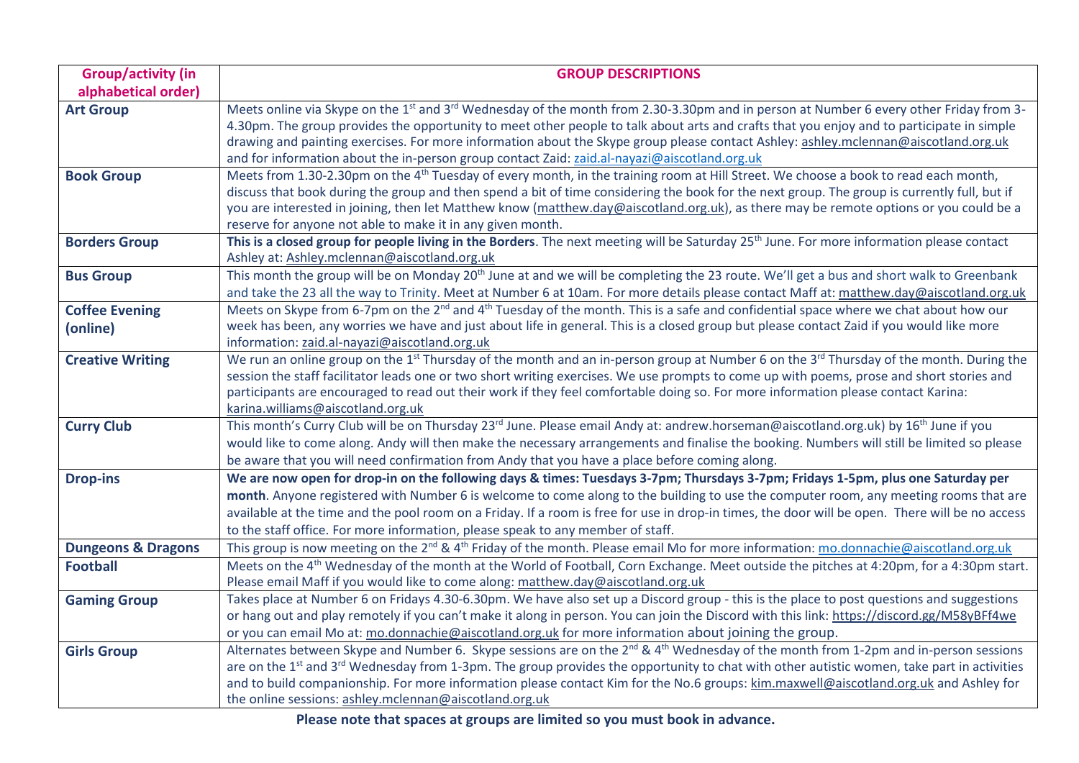| <b>Group/activity (in</b>     | <b>GROUP DESCRIPTIONS</b>                                                                                                                                                                                                                                                                                     |
|-------------------------------|---------------------------------------------------------------------------------------------------------------------------------------------------------------------------------------------------------------------------------------------------------------------------------------------------------------|
| alphabetical order)           |                                                                                                                                                                                                                                                                                                               |
| <b>Art Group</b>              | Meets online via Skype on the 1 <sup>st</sup> and 3 <sup>rd</sup> Wednesday of the month from 2.30-3.30pm and in person at Number 6 every other Friday from 3-                                                                                                                                                |
|                               | 4.30pm. The group provides the opportunity to meet other people to talk about arts and crafts that you enjoy and to participate in simple                                                                                                                                                                     |
|                               | drawing and painting exercises. For more information about the Skype group please contact Ashley: ashley.mclennan@aiscotland.org.uk                                                                                                                                                                           |
|                               | and for information about the in-person group contact Zaid: zaid.al-nayazi@aiscotland.org.uk                                                                                                                                                                                                                  |
| <b>Book Group</b>             | Meets from 1.30-2.30pm on the 4 <sup>th</sup> Tuesday of every month, in the training room at Hill Street. We choose a book to read each month,                                                                                                                                                               |
|                               | discuss that book during the group and then spend a bit of time considering the book for the next group. The group is currently full, but if                                                                                                                                                                  |
|                               | you are interested in joining, then let Matthew know (matthew.day@aiscotland.org.uk), as there may be remote options or you could be a                                                                                                                                                                        |
|                               | reserve for anyone not able to make it in any given month.<br>This is a closed group for people living in the Borders. The next meeting will be Saturday 25 <sup>th</sup> June. For more information please contact                                                                                           |
| <b>Borders Group</b>          | Ashley at: Ashley.mclennan@aiscotland.org.uk                                                                                                                                                                                                                                                                  |
| <b>Bus Group</b>              | This month the group will be on Monday 20 <sup>th</sup> June at and we will be completing the 23 route. We'll get a bus and short walk to Greenbank                                                                                                                                                           |
|                               | and take the 23 all the way to Trinity. Meet at Number 6 at 10am. For more details please contact Maff at: matthew.day@aiscotland.org.uk                                                                                                                                                                      |
| <b>Coffee Evening</b>         | Meets on Skype from 6-7pm on the 2 <sup>nd</sup> and 4 <sup>th</sup> Tuesday of the month. This is a safe and confidential space where we chat about how our                                                                                                                                                  |
| (online)                      | week has been, any worries we have and just about life in general. This is a closed group but please contact Zaid if you would like more                                                                                                                                                                      |
|                               | information: zaid.al-nayazi@aiscotland.org.uk                                                                                                                                                                                                                                                                 |
| <b>Creative Writing</b>       | We run an online group on the 1 <sup>st</sup> Thursday of the month and an in-person group at Number 6 on the 3 <sup>rd</sup> Thursday of the month. During the                                                                                                                                               |
|                               | session the staff facilitator leads one or two short writing exercises. We use prompts to come up with poems, prose and short stories and                                                                                                                                                                     |
|                               | participants are encouraged to read out their work if they feel comfortable doing so. For more information please contact Karina:                                                                                                                                                                             |
|                               | karina.williams@aiscotland.org.uk                                                                                                                                                                                                                                                                             |
| <b>Curry Club</b>             | This month's Curry Club will be on Thursday 23 <sup>rd</sup> June. Please email Andy at: andrew.horseman@aiscotland.org.uk) by 16 <sup>th</sup> June if you                                                                                                                                                   |
|                               | would like to come along. Andy will then make the necessary arrangements and finalise the booking. Numbers will still be limited so please                                                                                                                                                                    |
|                               | be aware that you will need confirmation from Andy that you have a place before coming along.                                                                                                                                                                                                                 |
| <b>Drop-ins</b>               | We are now open for drop-in on the following days & times: Tuesdays 3-7pm; Thursdays 3-7pm; Fridays 1-5pm, plus one Saturday per                                                                                                                                                                              |
|                               | month. Anyone registered with Number 6 is welcome to come along to the building to use the computer room, any meeting rooms that are                                                                                                                                                                          |
|                               | available at the time and the pool room on a Friday. If a room is free for use in drop-in times, the door will be open. There will be no access                                                                                                                                                               |
|                               | to the staff office. For more information, please speak to any member of staff.                                                                                                                                                                                                                               |
| <b>Dungeons &amp; Dragons</b> | This group is now meeting on the 2 <sup>nd</sup> & 4 <sup>th</sup> Friday of the month. Please email Mo for more information: mo.donnachie@aiscotland.org.uk                                                                                                                                                  |
| <b>Football</b>               | Meets on the 4 <sup>th</sup> Wednesday of the month at the World of Football, Corn Exchange. Meet outside the pitches at 4:20pm, for a 4:30pm start.                                                                                                                                                          |
|                               | Please email Maff if you would like to come along: matthew.day@aiscotland.org.uk                                                                                                                                                                                                                              |
| <b>Gaming Group</b>           | Takes place at Number 6 on Fridays 4.30-6.30pm. We have also set up a Discord group - this is the place to post questions and suggestions                                                                                                                                                                     |
|                               | or hang out and play remotely if you can't make it along in person. You can join the Discord with this link: https://discord.gg/M58yBFf4we                                                                                                                                                                    |
|                               | or you can email Mo at: mo.donnachie@aiscotland.org.uk for more information about joining the group.                                                                                                                                                                                                          |
| <b>Girls Group</b>            | Alternates between Skype and Number 6. Skype sessions are on the 2 <sup>nd</sup> & 4 <sup>th</sup> Wednesday of the month from 1-2pm and in-person sessions<br>are on the $1st$ and $3rd$ Wednesday from 1-3pm. The group provides the opportunity to chat with other autistic women, take part in activities |
|                               | and to build companionship. For more information please contact Kim for the No.6 groups: kim.maxwell@aiscotland.org.uk and Ashley for                                                                                                                                                                         |
|                               | the online sessions: ashley.mclennan@aiscotland.org.uk                                                                                                                                                                                                                                                        |
|                               |                                                                                                                                                                                                                                                                                                               |

**Please note that spaces at groups are limited so you must book in advance.**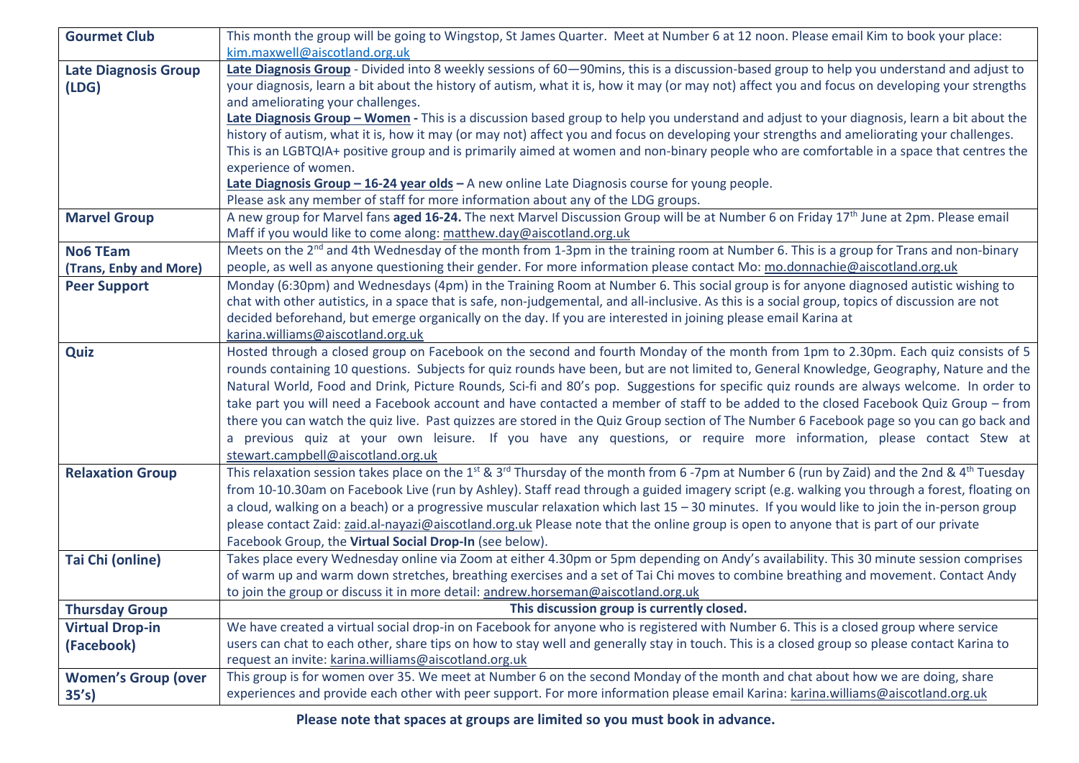| <b>Gourmet Club</b>         | This month the group will be going to Wingstop, St James Quarter. Meet at Number 6 at 12 noon. Please email Kim to book your place:                                           |
|-----------------------------|-------------------------------------------------------------------------------------------------------------------------------------------------------------------------------|
|                             | kim.maxwell@aiscotland.org.uk                                                                                                                                                 |
| <b>Late Diagnosis Group</b> | Late Diagnosis Group - Divided into 8 weekly sessions of 60-90mins, this is a discussion-based group to help you understand and adjust to                                     |
| (LDG)                       | your diagnosis, learn a bit about the history of autism, what it is, how it may (or may not) affect you and focus on developing your strengths                                |
|                             | and ameliorating your challenges.                                                                                                                                             |
|                             | Late Diagnosis Group - Women - This is a discussion based group to help you understand and adjust to your diagnosis, learn a bit about the                                    |
|                             | history of autism, what it is, how it may (or may not) affect you and focus on developing your strengths and ameliorating your challenges.                                    |
|                             | This is an LGBTQIA+ positive group and is primarily aimed at women and non-binary people who are comfortable in a space that centres the                                      |
|                             | experience of women.                                                                                                                                                          |
|                             | Late Diagnosis Group - 16-24 year olds - A new online Late Diagnosis course for young people.                                                                                 |
|                             | Please ask any member of staff for more information about any of the LDG groups.                                                                                              |
| <b>Marvel Group</b>         | A new group for Marvel fans aged 16-24. The next Marvel Discussion Group will be at Number 6 on Friday 17th June at 2pm. Please email                                         |
|                             | Maff if you would like to come along: matthew.day@aiscotland.org.uk                                                                                                           |
| <b>No6 TEam</b>             | Meets on the 2 <sup>nd</sup> and 4th Wednesday of the month from 1-3pm in the training room at Number 6. This is a group for Trans and non-binary                             |
| (Trans, Enby and More)      | people, as well as anyone questioning their gender. For more information please contact Mo: mo.donnachie@aiscotland.org.uk                                                    |
| <b>Peer Support</b>         | Monday (6:30pm) and Wednesdays (4pm) in the Training Room at Number 6. This social group is for anyone diagnosed autistic wishing to                                          |
|                             | chat with other autistics, in a space that is safe, non-judgemental, and all-inclusive. As this is a social group, topics of discussion are not                               |
|                             | decided beforehand, but emerge organically on the day. If you are interested in joining please email Karina at                                                                |
|                             | karina.williams@aiscotland.org.uk                                                                                                                                             |
| Quiz                        | Hosted through a closed group on Facebook on the second and fourth Monday of the month from 1pm to 2.30pm. Each quiz consists of 5                                            |
|                             | rounds containing 10 questions. Subjects for quiz rounds have been, but are not limited to, General Knowledge, Geography, Nature and the                                      |
|                             | Natural World, Food and Drink, Picture Rounds, Sci-fi and 80's pop. Suggestions for specific quiz rounds are always welcome. In order to                                      |
|                             | take part you will need a Facebook account and have contacted a member of staff to be added to the closed Facebook Quiz Group - from                                          |
|                             | there you can watch the quiz live. Past quizzes are stored in the Quiz Group section of The Number 6 Facebook page so you can go back and                                     |
|                             | a previous quiz at your own leisure. If you have any questions, or require more information, please contact Stew at                                                           |
|                             | stewart.campbell@aiscotland.org.uk                                                                                                                                            |
| <b>Relaxation Group</b>     | This relaxation session takes place on the 1 <sup>st</sup> & 3 <sup>rd</sup> Thursday of the month from 6-7pm at Number 6 (run by Zaid) and the 2nd & 4 <sup>th</sup> Tuesday |
|                             | from 10-10.30am on Facebook Live (run by Ashley). Staff read through a guided imagery script (e.g. walking you through a forest, floating on                                  |
|                             | a cloud, walking on a beach) or a progressive muscular relaxation which last 15 - 30 minutes. If you would like to join the in-person group                                   |
|                             | please contact Zaid: zaid.al-nayazi@aiscotland.org.uk Please note that the online group is open to anyone that is part of our private                                         |
|                             | Facebook Group, the Virtual Social Drop-In (see below).                                                                                                                       |
| Tai Chi (online)            | Takes place every Wednesday online via Zoom at either 4.30pm or 5pm depending on Andy's availability. This 30 minute session comprises                                        |
|                             | of warm up and warm down stretches, breathing exercises and a set of Tai Chi moves to combine breathing and movement. Contact Andy                                            |
|                             | to join the group or discuss it in more detail: andrew.horseman@aiscotland.org.uk                                                                                             |
| <b>Thursday Group</b>       | This discussion group is currently closed.                                                                                                                                    |
| <b>Virtual Drop-in</b>      | We have created a virtual social drop-in on Facebook for anyone who is registered with Number 6. This is a closed group where service                                         |
| (Facebook)                  | users can chat to each other, share tips on how to stay well and generally stay in touch. This is a closed group so please contact Karina to                                  |
|                             | request an invite: karina.williams@aiscotland.org.uk                                                                                                                          |
| <b>Women's Group (over</b>  | This group is for women over 35. We meet at Number 6 on the second Monday of the month and chat about how we are doing, share                                                 |
| 35's)                       | experiences and provide each other with peer support. For more information please email Karina: karina.williams@aiscotland.org.uk                                             |
|                             |                                                                                                                                                                               |

**Please note that spaces at groups are limited so you must book in advance.**